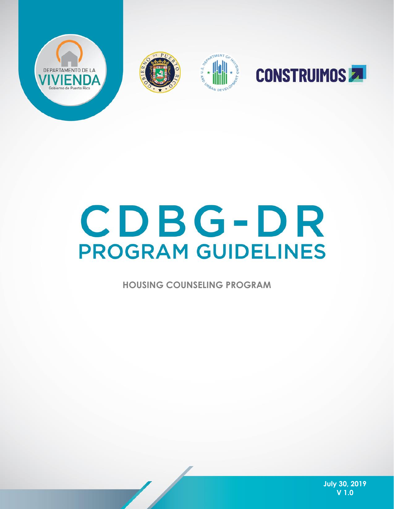







# CDBG-DR **PROGRAM GUIDELINES**

**HOUSING COUNSELING PROGRAM**

**July 30, 2019 V 1.0**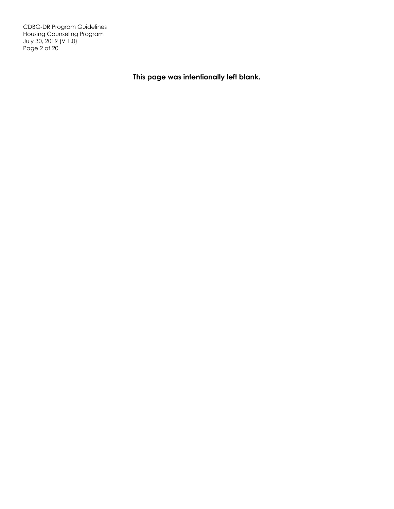CDBG-DR Program Guidelines Housing Counseling Program July 30, 2019 (V 1.0) Page 2 of 20

**This page was intentionally left blank.**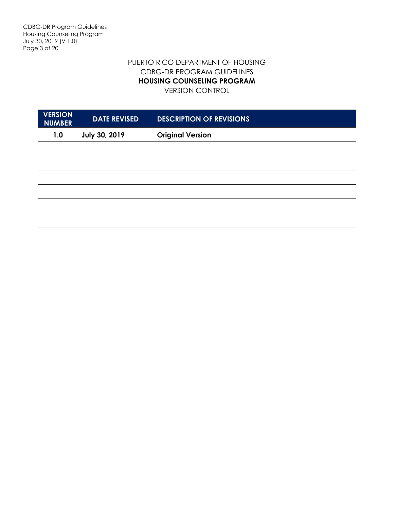CDBG-DR Program Guidelines Housing Counseling Program July 30, 2019 (V 1.0) Page 3 of 20

## PUERTO RICO DEPARTMENT OF HOUSING CDBG-DR PROGRAM GUIDELINES **HOUSING COUNSELING PROGRAM**

VERSION CONTROL

| <b>VERSION</b><br><b>NUMBER</b> | <b>DATE REVISED</b>  | <b>DESCRIPTION OF REVISIONS</b> |
|---------------------------------|----------------------|---------------------------------|
| 1.0                             | <b>July 30, 2019</b> | <b>Original Version</b>         |
|                                 |                      |                                 |
|                                 |                      |                                 |
|                                 |                      |                                 |
|                                 |                      |                                 |
|                                 |                      |                                 |
|                                 |                      |                                 |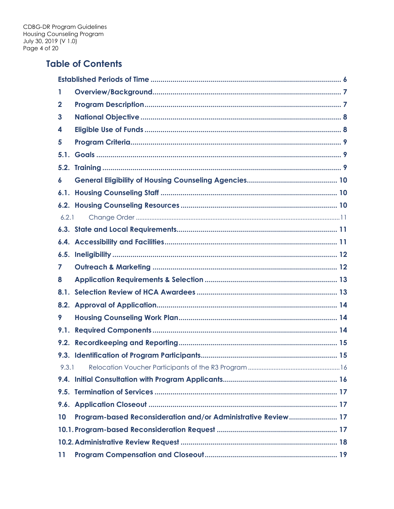# **Table of Contents**

| 1     |                                                               |  |  |  |
|-------|---------------------------------------------------------------|--|--|--|
| 2     |                                                               |  |  |  |
| 3     |                                                               |  |  |  |
| 4     |                                                               |  |  |  |
| 5     |                                                               |  |  |  |
| 5.1.  |                                                               |  |  |  |
| 5.2.  |                                                               |  |  |  |
| 6     |                                                               |  |  |  |
|       |                                                               |  |  |  |
|       |                                                               |  |  |  |
| 6.2.1 |                                                               |  |  |  |
|       |                                                               |  |  |  |
|       |                                                               |  |  |  |
|       |                                                               |  |  |  |
| 7     |                                                               |  |  |  |
| 8     |                                                               |  |  |  |
| 8.1.  |                                                               |  |  |  |
|       |                                                               |  |  |  |
| 9     |                                                               |  |  |  |
| 9.1.  |                                                               |  |  |  |
| 9.2.  |                                                               |  |  |  |
|       |                                                               |  |  |  |
| 9.3.1 |                                                               |  |  |  |
|       |                                                               |  |  |  |
|       |                                                               |  |  |  |
|       |                                                               |  |  |  |
| 10    | Program-based Reconsideration and/or Administrative Review 17 |  |  |  |
|       |                                                               |  |  |  |
|       |                                                               |  |  |  |
| 11    |                                                               |  |  |  |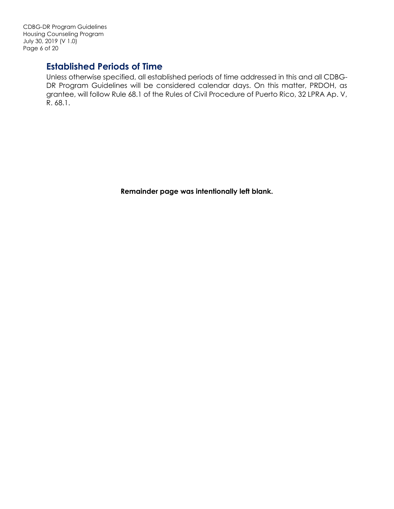CDBG-DR Program Guidelines Housing Counseling Program July 30, 2019 (V 1.0) Page 6 of 20

## <span id="page-5-0"></span>**Established Periods of Time**

Unless otherwise specified, all established periods of time addressed in this and all CDBG-DR Program Guidelines will be considered calendar days. On this matter, PRDOH, as grantee, will follow Rule 68.1 of the Rules of Civil Procedure of Puerto Rico, 32 LPRA Ap. V, R. 68.1.

**Remainder page was intentionally left blank.**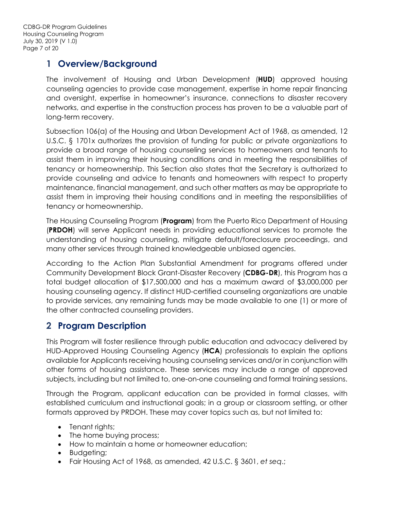# <span id="page-6-0"></span>**1 Overview/Background**

The involvement of Housing and Urban Development (**HUD**) approved housing counseling agencies to provide case management, expertise in home repair financing and oversight, expertise in homeowner's insurance, connections to disaster recovery networks, and expertise in the construction process has proven to be a valuable part of long-term recovery.

Subsection 106(a) of the Housing and Urban Development Act of 1968, as amended, 12 U.S.C. § 1701x authorizes the provision of funding for public or private organizations to provide a broad range of housing counseling services to homeowners and tenants to assist them in improving their housing conditions and in meeting the responsibilities of tenancy or homeownership. This Section also states that the Secretary is authorized to provide counseling and advice to tenants and homeowners with respect to property maintenance, financial management, and such other matters as may be appropriate to assist them in improving their housing conditions and in meeting the responsibilities of tenancy or homeownership.

The Housing Counseling Program (**Program**) from the Puerto Rico Department of Housing (**PRDOH**) will serve Applicant needs in providing educational services to promote the understanding of housing counseling, mitigate default/foreclosure proceedings, and many other services through trained knowledgeable unbiased agencies.

According to the Action Plan Substantial Amendment for programs offered under Community Development Block Grant-Disaster Recovery (**CDBG-DR**), this Program has a total budget allocation of \$17,500,000 and has a maximum award of \$3,000,000 per housing counseling agency. If distinct HUD-certified counseling organizations are unable to provide services, any remaining funds may be made available to one (1) or more of the other contracted counseling providers.

# <span id="page-6-1"></span>**2 Program Description**

This Program will foster resilience through public education and advocacy delivered by HUD-Approved Housing Counseling Agency (**HCA**) professionals to explain the options available for Applicants receiving housing counseling services and/or in conjunction with other forms of housing assistance. These services may include a range of approved subjects, including but not limited to, one-on-one counseling and formal training sessions.

Through the Program, applicant education can be provided in formal classes, with established curriculum and instructional goals; in a group or classroom setting, or other formats approved by PRDOH. These may cover topics such as, but not limited to:

- Tenant rights;
- The home buying process;
- How to maintain a home or homeowner education;
- Budgeting;
- Fair Housing Act of 1968, as amended, 42 U.S.C. § 3601, *et seq*.;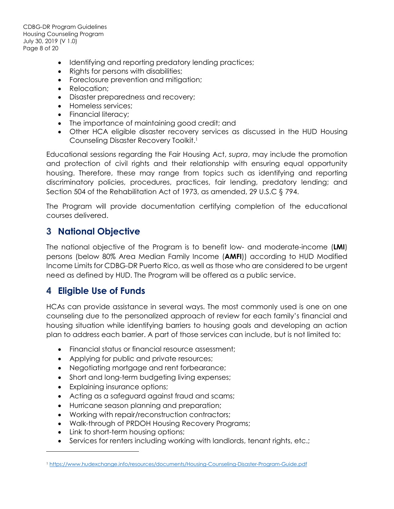CDBG-DR Program Guidelines Housing Counseling Program July 30, 2019 (V 1.0) Page 8 of 20

- Identifying and reporting predatory lending practices;
- Rights for persons with disabilities;
- Foreclosure prevention and mitigation;
- Relocation;
- Disaster preparedness and recovery;
- Homeless services;
- Financial literacy;
- The importance of maintaining good credit; and
- Other HCA eligible disaster recovery services as discussed in the HUD Housing Counseling Disaster Recovery Toolkit. 1

Educational sessions regarding the Fair Housing Act, *supra*, may include the promotion and protection of civil rights and their relationship with ensuring equal opportunity housing. Therefore, these may range from topics such as identifying and reporting discriminatory policies, procedures, practices, fair lending, predatory lending; and Section 504 of the Rehabilitation Act of 1973, as amended, 29 U.S.C § 794.

The Program will provide documentation certifying completion of the educational courses delivered.

## <span id="page-7-0"></span>**3 National Objective**

The national objective of the Program is to benefit low- and moderate-income (**LMI**) persons (below 80% Area Median Family Income (**AMFI**)) according to HUD Modified Income Limits for CDBG-DR Puerto Rico, as well as those who are considered to be urgent need as defined by HUD. The Program will be offered as a public service.

# <span id="page-7-1"></span>**4 Eligible Use of Funds**

HCAs can provide assistance in several ways. The most commonly used is one on one counseling due to the personalized approach of review for each family's financial and housing situation while identifying barriers to housing goals and developing an action plan to address each barrier. A part of those services can include, but is not limited to:

- Financial status or financial resource assessment;
- Applying for public and private resources;
- Negotiating mortgage and rent forbearance;
- Short and long-term budgeting living expenses;
- Explaining insurance options;

 $\overline{a}$ 

- Acting as a safeguard against fraud and scams;
- Hurricane season planning and preparation;
- Working with repair/reconstruction contractors;
- Walk-through of PRDOH Housing Recovery Programs;
- Link to short-term housing options;
- Services for renters including working with landlords, tenant rights, etc.;

<sup>1</sup> <https://www.hudexchange.info/resources/documents/Housing-Counseling-Disaster-Program-Guide.pdf>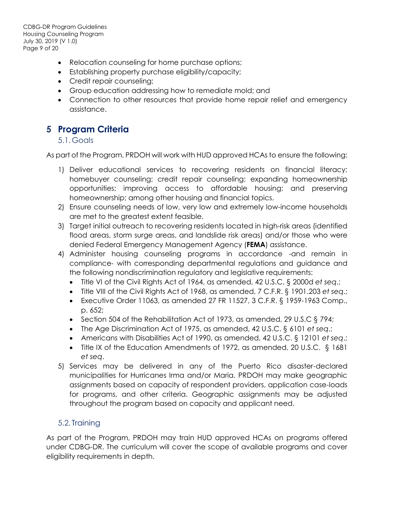CDBG-DR Program Guidelines Housing Counseling Program July 30, 2019 (V 1.0) Page 9 of 20

- Relocation counseling for home purchase options;
- Establishing property purchase eligibility/capacity;
- Credit repair counseling;
- Group education addressing how to remediate mold; and
- Connection to other resources that provide home repair relief and emergency assistance.

## <span id="page-8-1"></span><span id="page-8-0"></span>**5 Program Criteria**

#### 5.1.Goals

As part of the Program, PRDOH will work with HUD approved HCAs to ensure the following:

- 1) Deliver educational services to recovering residents on financial literacy; homebuyer counseling; credit repair counseling; expanding homeownership opportunities; improving access to affordable housing; and preserving homeownership; among other housing and financial topics.
- 2) Ensure counseling needs of low, very low and extremely low-income households are met to the greatest extent feasible.
- 3) Target initial outreach to recovering residents located in high-risk areas (identified flood areas, storm surge areas, and landslide risk areas) and/or those who were denied Federal Emergency Management Agency (**FEMA**) assistance.
- 4) Administer housing counseling programs in accordance -and remain in compliance- with corresponding departmental regulations and guidance and the following nondiscrimination regulatory and legislative requirements:
	- Title VI of the Civil Rights Act of 1964, as amended, 42 U.S.C. § 2000d *et seq*.;
	- Title VIII of the Civil Rights Act of 1968, as amended, 7 C.F.R. § 1901.203 *et seq*.;
	- Executive Order 11063, as amended 27 FR 11527, 3 C.F.R. § 1959-1963 Comp., p. 652;
	- Section 504 of the Rehabilitation Act of 1973, as amended, 29 U.S.C & 794;
	- The Age Discrimination Act of 1975, as amended, 42 U.S.C. § 6101 *et seq*.;
	- Americans with Disabilities Act of 1990, as amended, 42 U.S.C. § 12101 *et seq*.;
	- Title IX of the Education Amendments of 1972, as amended, 20 U.S.C. § 1681 *et seq*.
- 5) Services may be delivered in any of the Puerto Rico disaster-declared municipalities for Hurricanes Irma and/or Maria. PRDOH may make geographic assignments based on capacity of respondent providers, application case-loads for programs, and other criteria. Geographic assignments may be adjusted throughout the program based on capacity and applicant need.

#### <span id="page-8-2"></span>5.2. Training

As part of the Program, PRDOH may train HUD approved HCAs on programs offered under CDBG-DR. The curriculum will cover the scope of available programs and cover eligibility requirements in depth.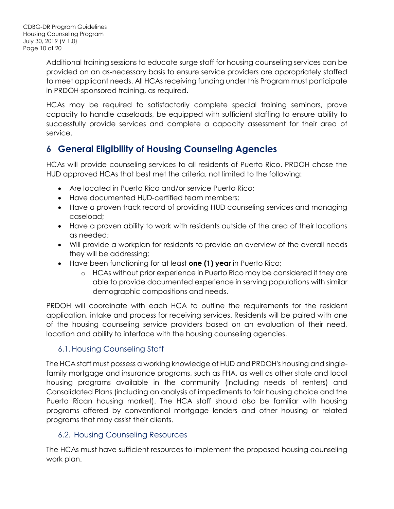Additional training sessions to educate surge staff for housing counseling services can be provided on an as-necessary basis to ensure service providers are appropriately staffed to meet applicant needs. All HCAs receiving funding under this Program must participate in PRDOH-sponsored training, as required.

HCAs may be required to satisfactorily complete special training seminars, prove capacity to handle caseloads, be equipped with sufficient staffing to ensure ability to successfully provide services and complete a capacity assessment for their area of service.

# <span id="page-9-0"></span>**6 General Eligibility of Housing Counseling Agencies**

HCAs will provide counseling services to all residents of Puerto Rico. PRDOH chose the HUD approved HCAs that best met the criteria, not limited to the following:

- Are located in Puerto Rico and/or service Puerto Rico;
- Have documented HUD-certified team members;
- Have a proven track record of providing HUD counseling services and managing caseload;
- Have a proven ability to work with residents outside of the area of their locations as needed;
- Will provide a workplan for residents to provide an overview of the overall needs they will be addressing;
- Have been functioning for at least **one (1) year** in Puerto Rico;
	- o HCAs without prior experience in Puerto Rico may be considered if they are able to provide documented experience in serving populations with similar demographic compositions and needs.

PRDOH will coordinate with each HCA to outline the requirements for the resident application, intake and process for receiving services. Residents will be paired with one of the housing counseling service providers based on an evaluation of their need, location and ability to interface with the housing counseling agencies.

#### <span id="page-9-1"></span>6.1.Housing Counseling Staff

The HCA staff must possess a working knowledge of HUD and PRDOH's housing and singlefamily mortgage and insurance programs, such as FHA, as well as other state and local housing programs available in the community (including needs of renters) and Consolidated Plans (including an analysis of impediments to fair housing choice and the Puerto Rican housing market). The HCA staff should also be familiar with housing programs offered by conventional mortgage lenders and other housing or related programs that may assist their clients.

#### <span id="page-9-2"></span>6.2. Housing Counseling Resources

The HCAs must have sufficient resources to implement the proposed housing counseling work plan.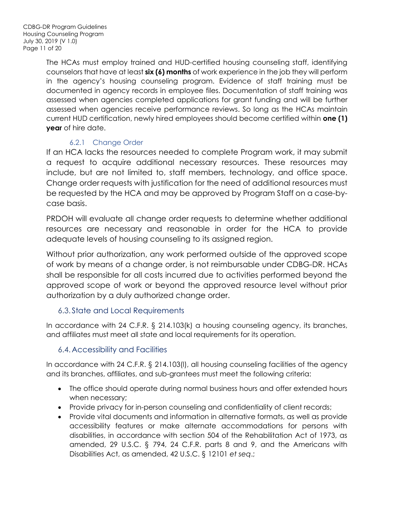The HCAs must employ trained and HUD-certified housing counseling staff, identifying counselors that have at least **six (6) months** of work experience in the job they will perform in the agency's housing counseling program. Evidence of staff training must be documented in agency records in employee files. Documentation of staff training was assessed when agencies completed applications for grant funding and will be further assessed when agencies receive performance reviews. So long as the HCAs maintain current HUD certification, newly hired employees should become certified within **one (1) year** of hire date.

## 6.2.1 Change Order

<span id="page-10-0"></span>If an HCA lacks the resources needed to complete Program work, it may submit a request to acquire additional necessary resources. These resources may include, but are not limited to, staff members, technology, and office space. Change order requests with justification for the need of additional resources must be requested by the HCA and may be approved by Program Staff on a case-bycase basis.

PRDOH will evaluate all change order requests to determine whether additional resources are necessary and reasonable in order for the HCA to provide adequate levels of housing counseling to its assigned region.

Without prior authorization, any work performed outside of the approved scope of work by means of a change order, is not reimbursable under CDBG-DR. HCAs shall be responsible for all costs incurred due to activities performed beyond the approved scope of work or beyond the approved resource level without prior authorization by a duly authorized change order.

## <span id="page-10-1"></span>6.3. State and Local Requirements

In accordance with 24 C.F.R. § 214.103(k) a housing counseling agency, its branches, and affiliates must meet all state and local requirements for its operation.

#### <span id="page-10-2"></span>6.4.Accessibility and Facilities

In accordance with 24 C.F.R. § 214.103(l), all housing counseling facilities of the agency and its branches, affiliates, and sub-grantees must meet the following criteria:

- The office should operate during normal business hours and offer extended hours when necessary;
- Provide privacy for in-person counseling and confidentiality of client records;
- Provide vital documents and information in alternative formats, as well as provide accessibility features or make alternate accommodations for persons with disabilities, in accordance with section 504 of the Rehabilitation Act of 1973, as amended, 29 U.S.C. § 794, 24 C.F.R. parts 8 and 9, and the Americans with Disabilities Act, as amended, 42 U.S.C. § 12101 *et seq*.;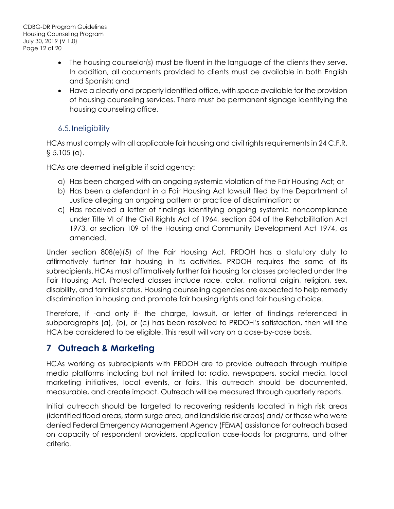- The housing counselor(s) must be fluent in the language of the clients they serve. In addition, all documents provided to clients must be available in both English and Spanish; and
- Have a clearly and properly identified office, with space available for the provision of housing counseling services. There must be permanent signage identifying the housing counseling office.

## <span id="page-11-0"></span>6.5. Ineligibility

HCAs must comply with all applicable fair housing and civil rights requirements in 24 C.F.R. § 5.105 (a).

HCAs are deemed ineligible if said agency:

- a) Has been charged with an ongoing systemic violation of the Fair Housing Act; or
- b) Has been a defendant in a Fair Housing Act lawsuit filed by the Department of Justice alleging an ongoing pattern or practice of discrimination; or
- c) Has received a letter of findings identifying ongoing systemic noncompliance under Title VI of the Civil Rights Act of 1964, section 504 of the Rehabilitation Act 1973, or section 109 of the Housing and Community Development Act 1974, as amended.

Under section 808(e)(5) of the Fair Housing Act, PRDOH has a statutory duty to affirmatively further fair housing in its activities. PRDOH requires the same of its subrecipients. HCAs must affirmatively further fair housing for classes protected under the Fair Housing Act. Protected classes include race, color, national origin, religion, sex, disability, and familial status. Housing counseling agencies are expected to help remedy discrimination in housing and promote fair housing rights and fair housing choice.

Therefore, if -and only if- the charge, lawsuit, or letter of findings referenced in subparagraphs (a), (b), or (c) has been resolved to PRDOH's satisfaction, then will the HCA be considered to be eligible. This result will vary on a case-by-case basis.

# <span id="page-11-1"></span>**7 Outreach & Marketing**

HCAs working as subrecipients with PRDOH are to provide outreach through multiple media platforms including but not limited to: radio, newspapers, social media, local marketing initiatives, local events, or fairs. This outreach should be documented, measurable, and create impact. Outreach will be measured through quarterly reports.

Initial outreach should be targeted to recovering residents located in high risk areas (identified flood areas, storm surge area, and landslide risk areas) and/ or those who were denied Federal Emergency Management Agency (FEMA) assistance for outreach based on capacity of respondent providers, application case-loads for programs, and other criteria.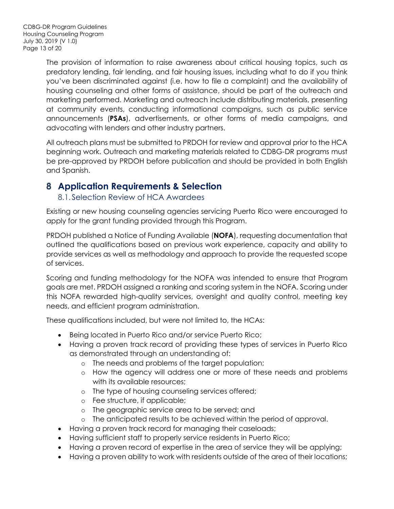The provision of information to raise awareness about critical housing topics, such as predatory lending, fair lending, and fair housing issues, including what to do if you think you've been discriminated against (i.e. how to file a complaint) and the availability of housing counseling and other forms of assistance, should be part of the outreach and marketing performed. Marketing and outreach include distributing materials, presenting at community events, conducting informational campaigns, such as public service announcements (**PSAs**), advertisements, or other forms of media campaigns, and advocating with lenders and other industry partners.

All outreach plans must be submitted to PRDOH for review and approval prior to the HCA beginning work. Outreach and marketing materials related to CDBG-DR programs must be pre-approved by PRDOH before publication and should be provided in both English and Spanish.

# <span id="page-12-1"></span><span id="page-12-0"></span>**8 Application Requirements & Selection**

#### 8.1. Selection Review of HCA Awardees

Existing or new housing counseling agencies servicing Puerto Rico were encouraged to apply for the grant funding provided through this Program.

PRDOH published a Notice of Funding Available (**NOFA**), requesting documentation that outlined the qualifications based on previous work experience, capacity and ability to provide services as well as methodology and approach to provide the requested scope of services.

Scoring and funding methodology for the NOFA was intended to ensure that Program goals are met. PRDOH assigned a ranking and scoring system in the NOFA. Scoring under this NOFA rewarded high-quality services, oversight and quality control, meeting key needs, and efficient program administration.

These qualifications included, but were not limited to, the HCAs:

- Being located in Puerto Rico and/or service Puerto Rico;
- Having a proven track record of providing these types of services in Puerto Rico as demonstrated through an understanding of:
	- o The needs and problems of the target population;
	- o How the agency will address one or more of these needs and problems with its available resources;
	- o The type of housing counseling services offered;
	- o Fee structure, if applicable;
	- o The geographic service area to be served; and
	- o The anticipated results to be achieved within the period of approval.
- Having a proven track record for managing their caseloads;
- Having sufficient staff to properly service residents in Puerto Rico;
- Having a proven record of expertise in the area of service they will be applying;
- Having a proven ability to work with residents outside of the area of their locations;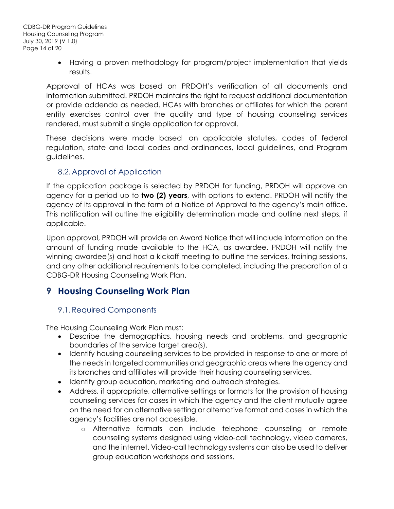Having a proven methodology for program/project implementation that yields results.

Approval of HCAs was based on PRDOH's verification of all documents and information submitted. PRDOH maintains the right to request additional documentation or provide addenda as needed. HCAs with branches or affiliates for which the parent entity exercises control over the quality and type of housing counseling services rendered, must submit a single application for approval.

These decisions were made based on applicable statutes, codes of federal regulation, state and local codes and ordinances, local guidelines, and Program guidelines.

#### <span id="page-13-0"></span>8.2.Approval of Application

If the application package is selected by PRDOH for funding, PRDOH will approve an agency for a period up to **two (2) years**, with options to extend. PRDOH will notify the agency of its approval in the form of a Notice of Approval to the agency's main office. This notification will outline the eligibility determination made and outline next steps, if applicable.

Upon approval, PRDOH will provide an Award Notice that will include information on the amount of funding made available to the HCA, as awardee. PRDOH will notify the winning awardee(s) and host a kickoff meeting to outline the services, training sessions, and any other additional requirements to be completed, including the preparation of a CDBG-DR Housing Counseling Work Plan.

# <span id="page-13-1"></span>**9 Housing Counseling Work Plan**

#### <span id="page-13-2"></span>9.1.Required Components

The Housing Counseling Work Plan must:

- Describe the demographics, housing needs and problems, and geographic boundaries of the service target area(s).
- Identify housing counseling services to be provided in response to one or more of the needs in targeted communities and geographic areas where the agency and its branches and affiliates will provide their housing counseling services.
- Identify group education, marketing and outreach strategies.
- Address, if appropriate, alternative settings or formats for the provision of housing counseling services for cases in which the agency and the client mutually agree on the need for an alternative setting or alternative format and cases in which the agency's facilities are not accessible.
	- o Alternative formats can include telephone counseling or remote counseling systems designed using video-call technology, video cameras, and the internet. Video-call technology systems can also be used to deliver group education workshops and sessions.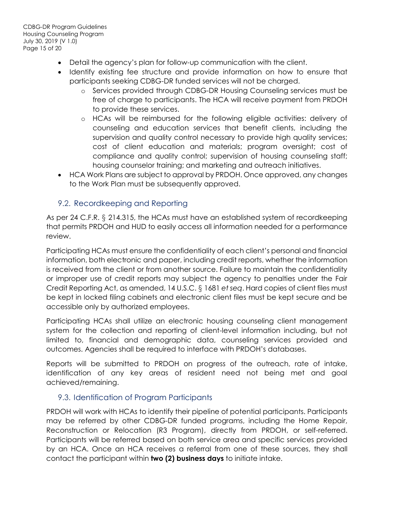- Detail the agency's plan for follow-up communication with the client.
- Identify existing fee structure and provide information on how to ensure that participants seeking CDBG-DR funded services will not be charged.
	- o Services provided through CDBG-DR Housing Counseling services must be free of charge to participants. The HCA will receive payment from PRDOH to provide these services.
	- o HCAs will be reimbursed for the following eligible activities: delivery of counseling and education services that benefit clients, including the supervision and quality control necessary to provide high quality services; cost of client education and materials; program oversight; cost of compliance and quality control; supervision of housing counseling staff; housing counselor training; and marketing and outreach initiatives.
- HCA Work Plans are subject to approval by PRDOH. Once approved, any changes to the Work Plan must be subsequently approved.

#### <span id="page-14-0"></span>9.2. Recordkeeping and Reporting

As per 24 C.F.R. § 214.315, the HCAs must have an established system of recordkeeping that permits PRDOH and HUD to easily access all information needed for a performance review.

Participating HCAs must ensure the confidentiality of each client's personal and financial information, both electronic and paper, including credit reports, whether the information is received from the client or from another source. Failure to maintain the confidentiality or improper use of credit reports may subject the agency to penalties under the Fair Credit Reporting Act, as amended, 14 U.S.C. § 1681 *et seq*. Hard copies of client files must be kept in locked filing cabinets and electronic client files must be kept secure and be accessible only by authorized employees.

Participating HCAs shall utilize an electronic housing counseling client management system for the collection and reporting of client-level information including, but not limited to, financial and demographic data, counseling services provided and outcomes. Agencies shall be required to interface with PRDOH's databases.

Reports will be submitted to PRDOH on progress of the outreach, rate of intake, identification of any key areas of resident need not being met and goal achieved/remaining.

#### <span id="page-14-1"></span>9.3. Identification of Program Participants

PRDOH will work with HCAs to identify their pipeline of potential participants. Participants may be referred by other CDBG-DR funded programs, including the Home Repair, Reconstruction or Relocation (R3 Program), directly from PRDOH, or self-referred. Participants will be referred based on both service area and specific services provided by an HCA. Once an HCA receives a referral from one of these sources, they shall contact the participant within **two (2) business days** to initiate intake.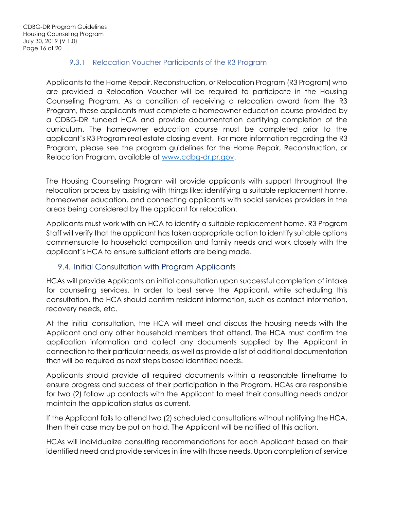#### 9.3.1 Relocation Voucher Participants of the R3 Program

<span id="page-15-0"></span>Applicants to the Home Repair, Reconstruction, or Relocation Program (R3 Program) who are provided a Relocation Voucher will be required to participate in the Housing Counseling Program. As a condition of receiving a relocation award from the R3 Program, these applicants must complete a homeowner education course provided by a CDBG-DR funded HCA and provide documentation certifying completion of the curriculum. The homeowner education course must be completed prior to the applicant's R3 Program real estate closing event. For more information regarding the R3 Program, please see the program guidelines for the Home Repair, Reconstruction, or Relocation Program, available at [www.cdbg-dr.pr.gov.](http://www.cdbg-dr.pr.gov/)

The Housing Counseling Program will provide applicants with support throughout the relocation process by assisting with things like: identifying a suitable replacement home, homeowner education, and connecting applicants with social services providers in the areas being considered by the applicant for relocation.

Applicants must work with an HCA to identify a suitable replacement home. R3 Program Staff will verify that the applicant has taken appropriate action to identify suitable options commensurate to household composition and family needs and work closely with the applicant's HCA to ensure sufficient efforts are being made.

#### <span id="page-15-1"></span>9.4. Initial Consultation with Program Applicants

HCAs will provide Applicants an initial consultation upon successful completion of intake for counseling services. In order to best serve the Applicant, while scheduling this consultation, the HCA should confirm resident information, such as contact information, recovery needs, etc.

At the initial consultation, the HCA will meet and discuss the housing needs with the Applicant and any other household members that attend. The HCA must confirm the application information and collect any documents supplied by the Applicant in connection to their particular needs, as well as provide a list of additional documentation that will be required as next steps based identified needs.

Applicants should provide all required documents within a reasonable timeframe to ensure progress and success of their participation in the Program. HCAs are responsible for two (2) follow up contacts with the Applicant to meet their consulting needs and/or maintain the application status as current.

If the Applicant fails to attend two (2) scheduled consultations without notifying the HCA, then their case may be put on hold. The Applicant will be notified of this action.

HCAs will individualize consulting recommendations for each Applicant based on their identified need and provide services in line with those needs. Upon completion of service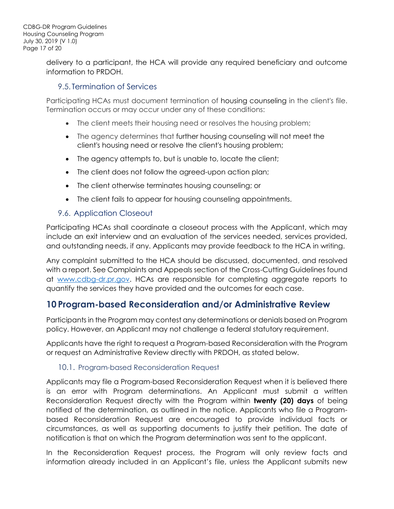delivery to a participant, the HCA will provide any required beneficiary and outcome information to PRDOH.

#### <span id="page-16-0"></span>9.5. Termination of Services

Participating HCAs must document termination of housing counseling in the client's file. Termination occurs or may occur under any of these conditions:

- The client meets their housing need or resolves the housing problem;
- The agency determines that further housing counseling will not meet the client's housing need or resolve the client's housing problem;
- The agency attempts to, but is unable to, locate the client;
- The client does not follow the agreed-upon action plan;
- The client otherwise terminates housing counseling; or
- The client fails to appear for housing counseling appointments.

#### <span id="page-16-1"></span>9.6. Application Closeout

Participating HCAs shall coordinate a closeout process with the Applicant, which may include an exit interview and an evaluation of the services needed, services provided, and outstanding needs, if any. Applicants may provide feedback to the HCA in writing.

Any complaint submitted to the HCA should be discussed, documented, and resolved with a report. See Complaints and Appeals section of the Cross-Cutting Guidelines found at [www.cdbg-dr.pr.gov.](http://www.cdbg-dr.pr.gov/) HCAs are responsible for completing aggregate reports to quantify the services they have provided and the outcomes for each case.

# <span id="page-16-2"></span>**10 Program-based Reconsideration and/or Administrative Review**

Participants in the Program may contest any determinations or denials based on Program policy. However, an Applicant may not challenge a federal statutory requirement.

Applicants have the right to request a Program-based Reconsideration with the Program or request an Administrative Review directly with PRDOH, as stated below.

#### <span id="page-16-3"></span>10.1. Program-based Reconsideration Request

Applicants may file a Program-based Reconsideration Request when it is believed there is an error with Program determinations. An Applicant must submit a written Reconsideration Request directly with the Program within **twenty (20) days** of being notified of the determination, as outlined in the notice. Applicants who file a Programbased Reconsideration Request are encouraged to provide individual facts or circumstances, as well as supporting documents to justify their petition. The date of notification is that on which the Program determination was sent to the applicant.

In the Reconsideration Request process, the Program will only review facts and information already included in an Applicant's file, unless the Applicant submits new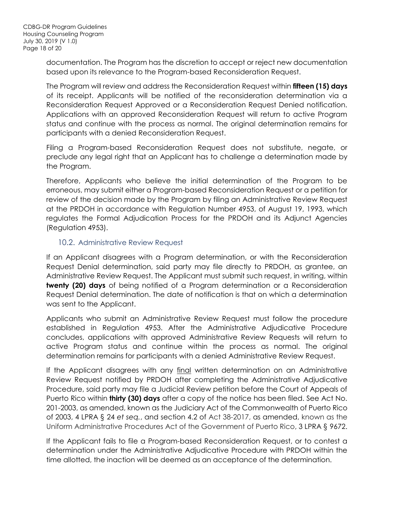documentation. The Program has the discretion to accept or reject new documentation based upon its relevance to the Program-based Reconsideration Request.

The Program will review and address the Reconsideration Request within **fifteen (15) days** of its receipt. Applicants will be notified of the reconsideration determination via a Reconsideration Request Approved or a Reconsideration Request Denied notification. Applications with an approved Reconsideration Request will return to active Program status and continue with the process as normal. The original determination remains for participants with a denied Reconsideration Request.

Filing a Program-based Reconsideration Request does not substitute, negate, or preclude any legal right that an Applicant has to challenge a determination made by the Program.

Therefore, Applicants who believe the initial determination of the Program to be erroneous, may submit either a Program-based Reconsideration Request or a petition for review of the decision made by the Program by filing an Administrative Review Request at the PRDOH in accordance with Regulation Number 4953, of August 19, 1993, which regulates the Formal Adjudication Process for the PRDOH and its Adjunct Agencies (Regulation 4953).

#### <span id="page-17-0"></span>10.2. Administrative Review Request

If an Applicant disagrees with a Program determination, or with the Reconsideration Request Denial determination, said party may file directly to PRDOH, as grantee, an Administrative Review Request. The Applicant must submit such request, in writing, within **twenty (20) days** of being notified of a Program determination or a Reconsideration Request Denial determination. The date of notification is that on which a determination was sent to the Applicant.

Applicants who submit an Administrative Review Request must follow the procedure established in Regulation 4953. After the Administrative Adjudicative Procedure concludes, applications with approved Administrative Review Requests will return to active Program status and continue within the process as normal. The original determination remains for participants with a denied Administrative Review Request.

If the Applicant disagrees with any final written determination on an Administrative Review Request notified by PRDOH after completing the Administrative Adjudicative Procedure, said party may file a Judicial Review petition before the Court of Appeals of Puerto Rico within **thirty (30) days** after a copy of the notice has been filed. See Act No. 201-2003, as amended, known as the Judiciary Act of the Commonwealth of Puerto Rico of 2003, 4 LPRA § 24 *et seq.*, and section 4.2 of Act 38-2017, as amended, known as the Uniform Administrative Procedures Act of the Government of Puerto Rico, 3 LPRA § 9672.

If the Applicant fails to file a Program-based Reconsideration Request, or to contest a determination under the Administrative Adjudicative Procedure with PRDOH within the time allotted, the inaction will be deemed as an acceptance of the determination.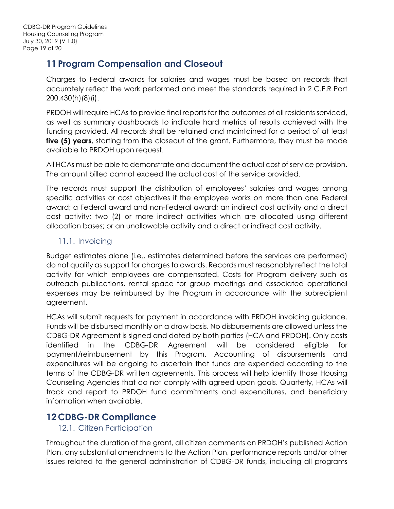# <span id="page-18-0"></span>**11 Program Compensation and Closeout**

Charges to Federal awards for salaries and wages must be based on records that accurately reflect the work performed and meet the standards required in 2 C.F.R Part 200.430(h)(8)(i).

PRDOH will require HCAs to provide final reports for the outcomes of all residents serviced, as well as summary dashboards to indicate hard metrics of results achieved with the funding provided. All records shall be retained and maintained for a period of at least **five (5) years**, starting from the closeout of the grant. Furthermore, they must be made available to PRDOH upon request.

All HCAs must be able to demonstrate and document the actual cost of service provision. The amount billed cannot exceed the actual cost of the service provided.

The records must support the distribution of employees' salaries and wages among specific activities or cost objectives if the employee works on more than one Federal award; a Federal award and non-Federal award; an indirect cost activity and a direct cost activity; two (2) or more indirect activities which are allocated using different allocation bases; or an unallowable activity and a direct or indirect cost activity.

## <span id="page-18-1"></span>11.1. Invoicing

Budget estimates alone (i.e., estimates determined before the services are performed) do not qualify as support for charges to awards. Records must reasonably reflect the total activity for which employees are compensated. Costs for Program delivery such as outreach publications, rental space for group meetings and associated operational expenses may be reimbursed by the Program in accordance with the subrecipient agreement.

HCAs will submit requests for payment in accordance with PRDOH invoicing guidance. Funds will be disbursed monthly on a draw basis. No disbursements are allowed unless the CDBG-DR Agreement is signed and dated by both parties (HCA and PRDOH). Only costs identified in the CDBG-DR Agreement will be considered eligible for payment/reimbursement by this Program. Accounting of disbursements and expenditures will be ongoing to ascertain that funds are expended according to the terms of the CDBG-DR written agreements. This process will help identify those Housing Counseling Agencies that do not comply with agreed upon goals. Quarterly, HCAs will track and report to PRDOH fund commitments and expenditures, and beneficiary information when available.

# <span id="page-18-3"></span><span id="page-18-2"></span>**12 CDBG-DR Compliance**

#### 12.1. Citizen Participation

Throughout the duration of the grant, all citizen comments on PRDOH's published Action Plan, any substantial amendments to the Action Plan, performance reports and/or other issues related to the general administration of CDBG-DR funds, including all programs